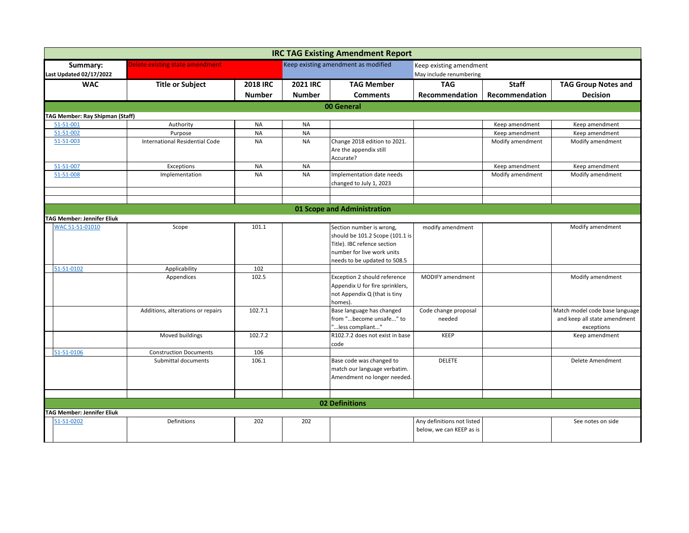|                                            |                                   |                 |                 | <b>IRC TAG Existing Amendment Report</b>                                                                                                                 |                                                        |                  |                                                                              |
|--------------------------------------------|-----------------------------------|-----------------|-----------------|----------------------------------------------------------------------------------------------------------------------------------------------------------|--------------------------------------------------------|------------------|------------------------------------------------------------------------------|
| Summary:<br><b>Last Updated 02/17/2022</b> | Delete existing state amendment   |                 |                 | Keep existing amendment as modified                                                                                                                      | Keep existing amendment<br>May include renumbering     |                  |                                                                              |
| <b>WAC</b>                                 | <b>Title or Subject</b>           | <b>2018 IRC</b> | <b>2021 IRC</b> | <b>TAG Member</b>                                                                                                                                        | <b>TAG</b>                                             | <b>Staff</b>     | <b>TAG Group Notes and</b>                                                   |
|                                            |                                   | <b>Number</b>   | <b>Number</b>   | <b>Comments</b>                                                                                                                                          | Recommendation                                         | Recommendation   | <b>Decision</b>                                                              |
|                                            |                                   |                 |                 | 00 General                                                                                                                                               |                                                        |                  |                                                                              |
| <b>TAG Member: Ray Shipman (Staff)</b>     |                                   |                 |                 |                                                                                                                                                          |                                                        |                  |                                                                              |
| 51-51-001                                  | Authority                         | <b>NA</b>       | <b>NA</b>       |                                                                                                                                                          |                                                        | Keep amendment   | Keep amendment                                                               |
| 51-51-002                                  | Purpose                           | <b>NA</b>       | <b>NA</b>       |                                                                                                                                                          |                                                        | Keep amendment   | Keep amendment                                                               |
| 51-51-003                                  | International Residential Code    | <b>NA</b>       | <b>NA</b>       | Change 2018 edition to 2021.<br>Are the appendix still<br>Accurate?                                                                                      |                                                        | Modify amendment | Modify amendment                                                             |
| 51-51-007                                  | Exceptions                        | <b>NA</b>       | <b>NA</b>       |                                                                                                                                                          |                                                        | Keep amendment   | Keep amendment                                                               |
| 51-51-008                                  | Implementation                    | <b>NA</b>       | <b>NA</b>       | Implementation date needs<br>changed to July 1, 2023                                                                                                     |                                                        | Modify amendment | Modify amendment                                                             |
|                                            |                                   |                 |                 |                                                                                                                                                          |                                                        |                  |                                                                              |
|                                            |                                   |                 |                 | 01 Scope and Administration                                                                                                                              |                                                        |                  |                                                                              |
| <b>TAG Member: Jennifer Eliuk</b>          |                                   |                 |                 |                                                                                                                                                          |                                                        |                  |                                                                              |
| WAC 51-51-01010                            | Scope                             | 101.1           |                 | Section number is wrong,<br>should be 101.2 Scope (101.1 is<br>Title). IBC refence section<br>number for live work units<br>needs to be updated to 508.5 | modify amendment                                       |                  | Modify amendment                                                             |
| 51-51-0102                                 | Applicability                     | 102             |                 |                                                                                                                                                          |                                                        |                  |                                                                              |
|                                            | Appendices                        | 102.5           |                 | Exception 2 should reference<br>Appendix U for fire sprinklers,<br>not Appendix Q (that is tiny<br>homes).                                               | MODIFY amendment                                       |                  | Modify amendment                                                             |
|                                            | Additions, alterations or repairs | 102.7.1         |                 | Base language has changed<br>from "become unsafe" to<br>"less compliant"                                                                                 | Code change proposal<br>needed                         |                  | Match model code base language<br>and keep all state amendment<br>exceptions |
|                                            | Moved buildings                   | 102.7.2         |                 | R102.7.2 does not exist in base<br>code                                                                                                                  | <b>KEEP</b>                                            |                  | Keep amendment                                                               |
| 51-51-0106                                 | <b>Construction Documents</b>     | 106             |                 |                                                                                                                                                          |                                                        |                  |                                                                              |
|                                            | Submittal documents               | 106.1           |                 | Base code was changed to<br>match our language verbatim.<br>Amendment no longer needed.                                                                  | <b>DELETE</b>                                          |                  | Delete Amendment                                                             |
|                                            |                                   |                 |                 |                                                                                                                                                          |                                                        |                  |                                                                              |
|                                            |                                   |                 |                 | <b>02 Definitions</b>                                                                                                                                    |                                                        |                  |                                                                              |
| <b>AG Member: Jennifer Eliuk</b>           |                                   |                 |                 |                                                                                                                                                          |                                                        |                  |                                                                              |
| 51-51-0202                                 | Definitions                       | 202             | 202             |                                                                                                                                                          | Any definitions not listed<br>below, we can KEEP as is |                  | See notes on side                                                            |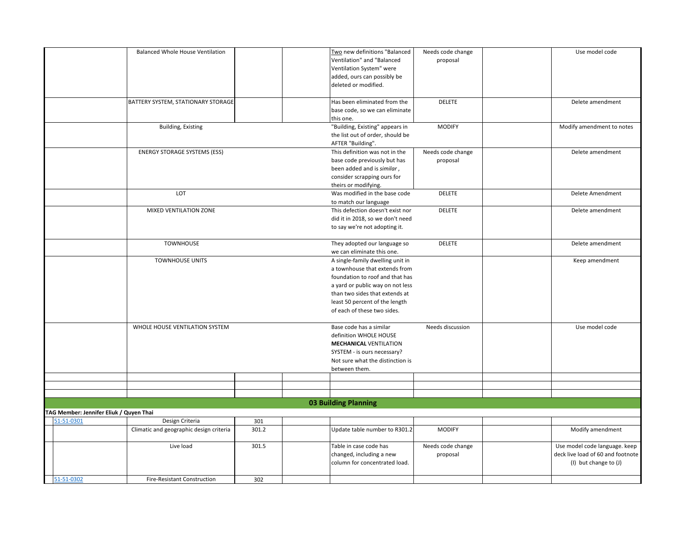|                                                       | <b>Balanced Whole House Ventilation</b> |       | Two new definitions "Balanced    | Needs code change | Use model code                    |
|-------------------------------------------------------|-----------------------------------------|-------|----------------------------------|-------------------|-----------------------------------|
|                                                       |                                         |       | Ventilation" and "Balanced       | proposal          |                                   |
|                                                       |                                         |       | Ventilation System" were         |                   |                                   |
|                                                       |                                         |       | added, ours can possibly be      |                   |                                   |
|                                                       |                                         |       | deleted or modified.             |                   |                                   |
|                                                       |                                         |       |                                  |                   |                                   |
|                                                       | BATTERY SYSTEM, STATIONARY STORAGE      |       | Has been eliminated from the     | <b>DELETE</b>     | Delete amendment                  |
|                                                       |                                         |       | base code, so we can eliminate   |                   |                                   |
|                                                       |                                         |       |                                  |                   |                                   |
|                                                       |                                         |       | this one.                        |                   |                                   |
|                                                       | <b>Building, Existing</b>               |       | "Building, Existing" appears in  | <b>MODIFY</b>     | Modify amendment to notes         |
|                                                       |                                         |       | the list out of order, should be |                   |                                   |
|                                                       |                                         |       | AFTER "Building".                |                   |                                   |
|                                                       | <b>ENERGY STORAGE SYSTEMS (ESS)</b>     |       | This definition was not in the   | Needs code change | Delete amendment                  |
|                                                       |                                         |       | base code previously but has     | proposal          |                                   |
|                                                       |                                         |       | been added and is similar,       |                   |                                   |
|                                                       |                                         |       | consider scrapping ours for      |                   |                                   |
|                                                       |                                         |       | theirs or modifying.             |                   |                                   |
|                                                       | LOT                                     |       | Was modified in the base code    | <b>DELETE</b>     | Delete Amendment                  |
|                                                       |                                         |       | to match our language            |                   |                                   |
|                                                       | MIXED VENTILATION ZONE                  |       | This defection doesn't exist nor | <b>DELETE</b>     | Delete amendment                  |
|                                                       |                                         |       | did it in 2018, so we don't need |                   |                                   |
|                                                       |                                         |       |                                  |                   |                                   |
|                                                       |                                         |       | to say we're not adopting it.    |                   |                                   |
|                                                       | <b>TOWNHOUSE</b>                        |       | They adopted our language so     | <b>DELETE</b>     | Delete amendment                  |
|                                                       |                                         |       | we can eliminate this one.       |                   |                                   |
|                                                       |                                         |       |                                  |                   |                                   |
|                                                       | <b>TOWNHOUSE UNITS</b>                  |       | A single-family dwelling unit in |                   | Keep amendment                    |
|                                                       |                                         |       | a townhouse that extends from    |                   |                                   |
|                                                       |                                         |       | foundation to roof and that has  |                   |                                   |
|                                                       |                                         |       | a yard or public way on not less |                   |                                   |
|                                                       |                                         |       | than two sides that extends at   |                   |                                   |
|                                                       |                                         |       | least 50 percent of the length   |                   |                                   |
|                                                       |                                         |       | of each of these two sides.      |                   |                                   |
|                                                       |                                         |       |                                  |                   |                                   |
|                                                       | WHOLE HOUSE VENTILATION SYSTEM          |       | Base code has a similar          | Needs discussion  | Use model code                    |
|                                                       |                                         |       | definition WHOLE HOUSE           |                   |                                   |
|                                                       |                                         |       | <b>MECHANICAL VENTILATION</b>    |                   |                                   |
|                                                       |                                         |       | SYSTEM - is ours necessary?      |                   |                                   |
|                                                       |                                         |       | Not sure what the distinction is |                   |                                   |
|                                                       |                                         |       |                                  |                   |                                   |
|                                                       |                                         |       | between them.                    |                   |                                   |
|                                                       |                                         |       |                                  |                   |                                   |
|                                                       |                                         |       |                                  |                   |                                   |
|                                                       |                                         |       | <b>03 Building Planning</b>      |                   |                                   |
|                                                       |                                         |       |                                  |                   |                                   |
| TAG Member: Jennifer Eliuk / Quyen Thai<br>51-51-0301 | Design Criteria                         | 301   |                                  |                   |                                   |
|                                                       | Climatic and geographic design criteria | 301.2 | Update table number to R301.2    | <b>MODIFY</b>     | Modify amendment                  |
|                                                       |                                         |       |                                  |                   |                                   |
|                                                       | Live load                               | 301.5 | Table in case code has           | Needs code change | Use model code language. keep     |
|                                                       |                                         |       |                                  |                   | deck live load of 60 and footnote |
|                                                       |                                         |       | changed, including a new         | proposal          |                                   |
|                                                       |                                         |       | column for concentrated load.    |                   | (I) but change to (J)             |
| 51-51-0302                                            |                                         |       |                                  |                   |                                   |
|                                                       | <b>Fire-Resistant Construction</b>      | 302   |                                  |                   |                                   |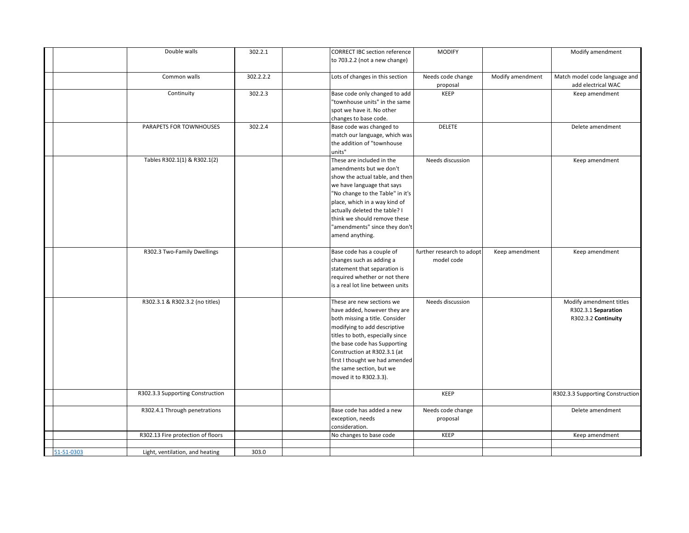|            | Double walls                      | 302.2.1   | <b>CORRECT IBC section reference</b> | <b>MODIFY</b>             |                  | Modify amendment                 |
|------------|-----------------------------------|-----------|--------------------------------------|---------------------------|------------------|----------------------------------|
|            |                                   |           | to 703.2.2 (not a new change)        |                           |                  |                                  |
|            | Common walls                      | 302.2.2.2 | Lots of changes in this section      | Needs code change         | Modify amendment | Match model code language and    |
|            |                                   |           |                                      | proposal                  |                  | add electrical WAC               |
|            | Continuity                        | 302.2.3   | Base code only changed to add        | KEEP                      |                  | Keep amendment                   |
|            |                                   |           | "townhouse units" in the same        |                           |                  |                                  |
|            |                                   |           | spot we have it. No other            |                           |                  |                                  |
|            |                                   |           | changes to base code.                |                           |                  |                                  |
|            | PARAPETS FOR TOWNHOUSES           | 302.2.4   | Base code was changed to             | <b>DELETE</b>             |                  | Delete amendment                 |
|            |                                   |           | match our language, which was        |                           |                  |                                  |
|            |                                   |           | the addition of "townhouse           |                           |                  |                                  |
|            |                                   |           | units"                               |                           |                  |                                  |
|            | Tables R302.1(1) & R302.1(2)      |           | These are included in the            | Needs discussion          |                  | Keep amendment                   |
|            |                                   |           | amendments but we don't              |                           |                  |                                  |
|            |                                   |           | show the actual table, and then      |                           |                  |                                  |
|            |                                   |           | we have language that says           |                           |                  |                                  |
|            |                                   |           | "No change to the Table" in it's     |                           |                  |                                  |
|            |                                   |           | place, which in a way kind of        |                           |                  |                                  |
|            |                                   |           | actually deleted the table? I        |                           |                  |                                  |
|            |                                   |           | think we should remove these         |                           |                  |                                  |
|            |                                   |           | "amendments" since they don't        |                           |                  |                                  |
|            |                                   |           | amend anything.                      |                           |                  |                                  |
|            | R302.3 Two-Family Dwellings       |           | Base code has a couple of            | further research to adopt | Keep amendment   | Keep amendment                   |
|            |                                   |           | changes such as adding a             | model code                |                  |                                  |
|            |                                   |           | statement that separation is         |                           |                  |                                  |
|            |                                   |           | required whether or not there        |                           |                  |                                  |
|            |                                   |           | is a real lot line between units     |                           |                  |                                  |
|            | R302.3.1 & R302.3.2 (no titles)   |           | These are new sections we            | Needs discussion          |                  | Modify amendment titles          |
|            |                                   |           | have added, however they are         |                           |                  | R302.3.1 Separation              |
|            |                                   |           | both missing a title. Consider       |                           |                  | R302.3.2 Continuity              |
|            |                                   |           | modifying to add descriptive         |                           |                  |                                  |
|            |                                   |           | titles to both, especially since     |                           |                  |                                  |
|            |                                   |           | the base code has Supporting         |                           |                  |                                  |
|            |                                   |           | Construction at R302.3.1 (at         |                           |                  |                                  |
|            |                                   |           | first I thought we had amended       |                           |                  |                                  |
|            |                                   |           | the same section, but we             |                           |                  |                                  |
|            |                                   |           | moved it to R302.3.3).               |                           |                  |                                  |
|            | R302.3.3 Supporting Construction  |           |                                      | KEEP                      |                  | R302.3.3 Supporting Construction |
|            | R302.4.1 Through penetrations     |           | Base code has added a new            | Needs code change         |                  | Delete amendment                 |
|            |                                   |           | exception, needs                     | proposal                  |                  |                                  |
|            |                                   |           | consideration.                       |                           |                  |                                  |
|            | R302.13 Fire protection of floors |           | No changes to base code              | <b>KEEP</b>               |                  | Keep amendment                   |
|            |                                   |           |                                      |                           |                  |                                  |
| 51-51-0303 | Light, ventilation, and heating   | 303.0     |                                      |                           |                  |                                  |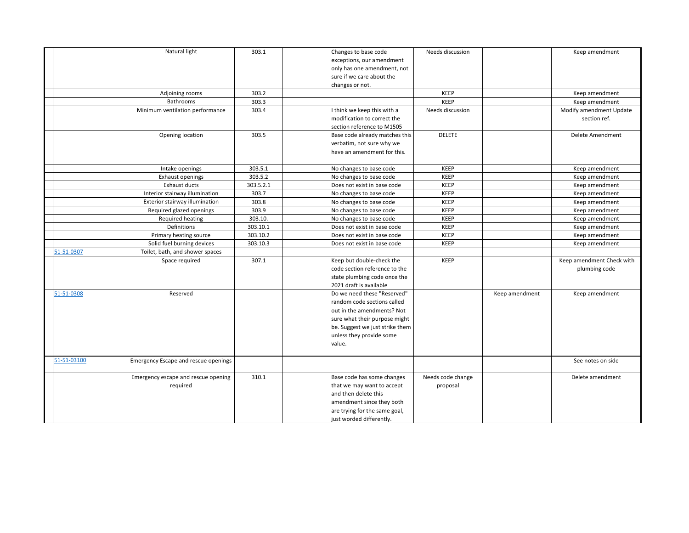|             | Natural light                        | 303.1     | Changes to base code            | Needs discussion  |                | Keep amendment            |
|-------------|--------------------------------------|-----------|---------------------------------|-------------------|----------------|---------------------------|
|             |                                      |           | exceptions, our amendment       |                   |                |                           |
|             |                                      |           | only has one amendment, not     |                   |                |                           |
|             |                                      |           | sure if we care about the       |                   |                |                           |
|             |                                      |           | changes or not.                 |                   |                |                           |
|             | Adjoining rooms                      | 303.2     |                                 | KEEP              |                | Keep amendment            |
|             | Bathrooms                            | 303.3     |                                 | <b>KEEP</b>       |                | Keep amendment            |
|             | Minimum ventilation performance      | 303.4     | think we keep this with a       | Needs discussion  |                | Modify amendment Update   |
|             |                                      |           | modification to correct the     |                   |                | section ref.              |
|             |                                      |           | section reference to M1505      |                   |                |                           |
|             | Opening location                     | 303.5     | Base code already matches this  | <b>DELETE</b>     |                | Delete Amendment          |
|             |                                      |           | verbatim, not sure why we       |                   |                |                           |
|             |                                      |           | have an amendment for this.     |                   |                |                           |
|             | Intake openings                      | 303.5.1   | No changes to base code         | KEEP              |                | Keep amendment            |
|             | <b>Exhaust openings</b>              | 303.5.2   | No changes to base code         | KEEP              |                | Keep amendment            |
|             | Exhaust ducts                        | 303.5.2.1 | Does not exist in base code     | KEEP              |                | Keep amendment            |
|             | Interior stairway illumination       | 303.7     | No changes to base code         | KEEP              |                | Keep amendment            |
|             | Exterior stairway illumination       | 303.8     | No changes to base code         | KEEP              |                | Keep amendment            |
|             | Required glazed openings             | 303.9     | No changes to base code         | KEEP              |                | Keep amendment            |
|             | Required heating                     | 303.10.   | No changes to base code         | KEEP              |                | Keep amendment            |
|             | Definitions                          | 303.10.1  | Does not exist in base code     | KEEP              |                | Keep amendment            |
|             | Primary heating source               | 303.10.2  | Does not exist in base code     | KEEP              |                | Keep amendment            |
|             | Solid fuel burning devices           | 303.10.3  | Does not exist in base code     | KEEP              |                | Keep amendment            |
| 51-51-0307  | Toilet, bath, and shower spaces      |           |                                 |                   |                |                           |
|             | Space required                       | 307.1     | Keep but double-check the       | <b>KEEP</b>       |                | Keep amendment Check with |
|             |                                      |           | code section reference to the   |                   |                | plumbing code             |
|             |                                      |           | state plumbing code once the    |                   |                |                           |
|             |                                      |           | 2021 draft is available         |                   |                |                           |
| 51-51-0308  | Reserved                             |           | Do we need these "Reserved"     |                   | Keep amendment | Keep amendment            |
|             |                                      |           | random code sections called     |                   |                |                           |
|             |                                      |           | out in the amendments? Not      |                   |                |                           |
|             |                                      |           | sure what their purpose might   |                   |                |                           |
|             |                                      |           | be. Suggest we just strike them |                   |                |                           |
|             |                                      |           | unless they provide some        |                   |                |                           |
|             |                                      |           | value.                          |                   |                |                           |
| 51-51-03100 | Emergency Escape and rescue openings |           |                                 |                   |                | See notes on side         |
|             |                                      |           |                                 |                   |                |                           |
|             | Emergency escape and rescue opening  | 310.1     | Base code has some changes      | Needs code change |                | Delete amendment          |
|             | required                             |           | that we may want to accept      | proposal          |                |                           |
|             |                                      |           | and then delete this            |                   |                |                           |
|             |                                      |           | amendment since they both       |                   |                |                           |
|             |                                      |           | are trying for the same goal,   |                   |                |                           |
|             |                                      |           | just worded differently.        |                   |                |                           |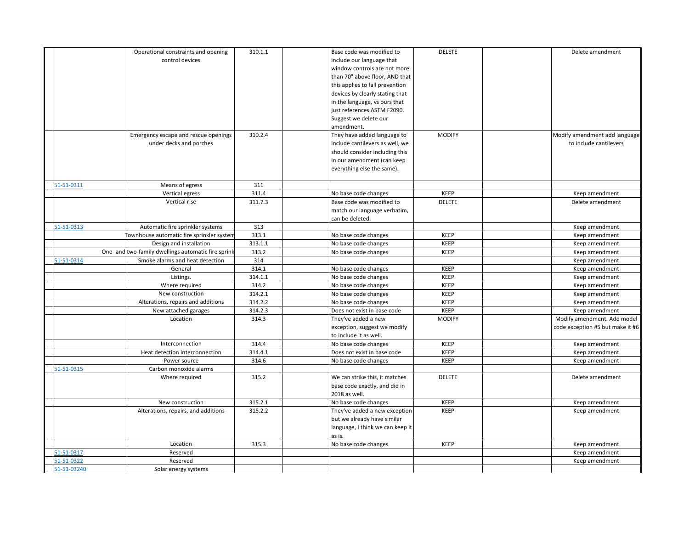|             | Operational constraints and opening                 | 310.1.1 | Base code was modified to        | <b>DELETE</b> | Delete amendment                 |
|-------------|-----------------------------------------------------|---------|----------------------------------|---------------|----------------------------------|
|             | control devices                                     |         | include our language that        |               |                                  |
|             |                                                     |         | window controls are not more     |               |                                  |
|             |                                                     |         | than 70" above floor, AND that   |               |                                  |
|             |                                                     |         | this applies to fall prevention  |               |                                  |
|             |                                                     |         | devices by clearly stating that  |               |                                  |
|             |                                                     |         | in the language, vs ours that    |               |                                  |
|             |                                                     |         | just references ASTM F2090.      |               |                                  |
|             |                                                     |         | Suggest we delete our            |               |                                  |
|             |                                                     |         | amendment.                       |               |                                  |
|             | Emergency escape and rescue openings                | 310.2.4 | They have added language to      | <b>MODIFY</b> | Modify amendment add language    |
|             | under decks and porches                             |         | include cantilevers as well, we  |               | to include cantilevers           |
|             |                                                     |         | should consider including this   |               |                                  |
|             |                                                     |         | in our amendment (can keep       |               |                                  |
|             |                                                     |         | everything else the same).       |               |                                  |
|             |                                                     |         |                                  |               |                                  |
| 51-51-0311  | Means of egress                                     | 311     |                                  |               |                                  |
|             | Vertical egress                                     | 311.4   | No base code changes             | KEEP          | Keep amendment                   |
|             | Vertical rise                                       | 311.7.3 | Base code was modified to        | DELETE        | Delete amendment                 |
|             |                                                     |         | match our language verbatim,     |               |                                  |
|             |                                                     |         | can be deleted.                  |               |                                  |
| 51-51-0313  | Automatic fire sprinkler systems                    | 313     |                                  |               | Keep amendment                   |
|             | Townhouse automatic fire sprinkler system           | 313.1   | No base code changes             | KEEP          | Keep amendment                   |
|             | Design and installation                             | 313.1.1 | No base code changes             | KEEP          | Keep amendment                   |
|             | One- and two-family dwellings automatic fire sprink | 313.2   | No base code changes             | KEEP          | Keep amendment                   |
| 51-51-0314  | Smoke alarms and heat detection                     | 314     |                                  |               | Keep amendment                   |
|             | General                                             | 314.1   | No base code changes             | <b>KEEP</b>   | Keep amendment                   |
|             | Listings.                                           | 314.1.1 | No base code changes             | KEEP          | Keep amendment                   |
|             | Where required                                      | 314.2   | No base code changes             | KEEP          | Keep amendment                   |
|             | New construction                                    | 314.2.1 | No base code changes             | KEEP          | Keep amendment                   |
|             | Alterations, repairs and additions                  | 314.2.2 | No base code changes             | KEEP          | Keep amendment                   |
|             | New attached garages                                | 314.2.3 | Does not exist in base code      | KEEP          | Keep amendment                   |
|             | Location                                            | 314.3   | They've added a new              | <b>MODIFY</b> | Modify amendment. Add model      |
|             |                                                     |         | exception, suggest we modify     |               | code exception #5 but make it #6 |
|             |                                                     |         | to include it as well.           |               |                                  |
|             | Interconnection                                     | 314.4   | No base code changes             | KEEP          | Keep amendment                   |
|             | Heat detection interconnection                      | 314.4.1 | Does not exist in base code      | KEEP          | Keep amendment                   |
|             | Power source                                        | 314.6   | No base code changes             | KEEP          | Keep amendment                   |
| 51-51-0315  | Carbon monoxide alarms                              |         |                                  |               |                                  |
|             | Where required                                      | 315.2   | We can strike this, it matches   | <b>DELETE</b> | Delete amendment                 |
|             |                                                     |         | base code exactly, and did in    |               |                                  |
|             |                                                     |         | 2018 as well.                    |               |                                  |
|             | New construction                                    | 315.2.1 | No base code changes             | KEEP          | Keep amendment                   |
|             | Alterations, repairs, and additions                 | 315.2.2 | They've added a new exception    | <b>KEEP</b>   | Keep amendment                   |
|             |                                                     |         | but we already have similar      |               |                                  |
|             |                                                     |         | language, I think we can keep it |               |                                  |
|             |                                                     |         | as is.                           |               |                                  |
|             | Location                                            | 315.3   | No base code changes             | KEEP          | Keep amendment                   |
| 51-51-0317  | Reserved                                            |         |                                  |               | Keep amendment                   |
| 51-51-0322  | Reserved                                            |         |                                  |               | Keep amendment                   |
| 51-51-03240 | Solar energy systems                                |         |                                  |               |                                  |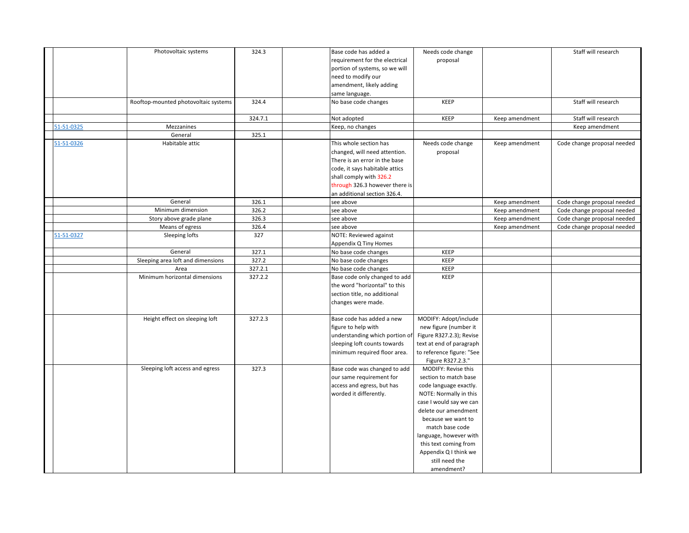|            | Photovoltaic systems                 | 324.3   | Base code has added a        |                                | Needs code change         |                | Staff will research         |
|------------|--------------------------------------|---------|------------------------------|--------------------------------|---------------------------|----------------|-----------------------------|
|            |                                      |         |                              | requirement for the electrical | proposal                  |                |                             |
|            |                                      |         |                              | portion of systems, so we will |                           |                |                             |
|            |                                      |         | need to modify our           |                                |                           |                |                             |
|            |                                      |         | amendment, likely adding     |                                |                           |                |                             |
|            |                                      |         | same language.               |                                |                           |                |                             |
|            | Rooftop-mounted photovoltaic systems | 324.4   | No base code changes         |                                | KEEP                      |                | Staff will research         |
|            |                                      |         |                              |                                |                           |                |                             |
|            |                                      | 324.7.1 | Not adopted                  |                                | KEEP                      | Keep amendment | Staff will research         |
| 51-51-0325 | Mezzanines                           |         | Keep, no changes             |                                |                           |                | Keep amendment              |
|            | General                              | 325.1   |                              |                                |                           |                |                             |
| 51-51-0326 | Habitable attic                      |         | This whole section has       |                                | Needs code change         | Keep amendment | Code change proposal needed |
|            |                                      |         |                              | changed, will need attention.  | proposal                  |                |                             |
|            |                                      |         |                              | There is an error in the base  |                           |                |                             |
|            |                                      |         |                              | code, it says habitable attics |                           |                |                             |
|            |                                      |         | shall comply with 326.2      |                                |                           |                |                             |
|            |                                      |         |                              | through 326.3 however there is |                           |                |                             |
|            |                                      |         |                              | an additional section 326.4.   |                           |                |                             |
|            | General                              | 326.1   | see above                    |                                |                           | Keep amendment | Code change proposal needed |
|            | Minimum dimension                    | 326.2   | see above                    |                                |                           | Keep amendment | Code change proposal needed |
|            | Story above grade plane              | 326.3   | see above                    |                                |                           | Keep amendment | Code change proposal needed |
|            | Means of egress                      | 326.4   | see above                    |                                |                           | Keep amendment | Code change proposal needed |
| 51-51-0327 | Sleeping lofts                       | 327     | NOTE: Reviewed against       |                                |                           |                |                             |
|            |                                      |         | Appendix Q Tiny Homes        |                                |                           |                |                             |
|            | General                              | 327.1   | No base code changes         |                                | KEEP                      |                |                             |
|            | Sleeping area loft and dimensions    | 327.2   | No base code changes         |                                | KEEP                      |                |                             |
|            | Area                                 | 327.2.1 | No base code changes         |                                | KEEP                      |                |                             |
|            | Minimum horizontal dimensions        | 327.2.2 |                              | Base code only changed to add  | KEEP                      |                |                             |
|            |                                      |         |                              | the word "horizontal" to this  |                           |                |                             |
|            |                                      |         | section title, no additional |                                |                           |                |                             |
|            |                                      |         | changes were made.           |                                |                           |                |                             |
|            |                                      |         |                              |                                |                           |                |                             |
|            | Height effect on sleeping loft       | 327.2.3 |                              | Base code has added a new      | MODIFY: Adopt/include     |                |                             |
|            |                                      |         | figure to help with          |                                | new figure (number it     |                |                             |
|            |                                      |         |                              | understanding which portion of | Figure R327.2.3); Revise  |                |                             |
|            |                                      |         |                              | sleeping loft counts towards   | text at end of paragraph  |                |                             |
|            |                                      |         |                              | minimum required floor area.   | to reference figure: "See |                |                             |
|            |                                      |         |                              |                                | Figure R327.2.3."         |                |                             |
|            | Sleeping loft access and egress      | 327.3   |                              | Base code was changed to add   | MODIFY: Revise this       |                |                             |
|            |                                      |         | our same requirement for     |                                | section to match base     |                |                             |
|            |                                      |         |                              | access and egress, but has     | code language exactly.    |                |                             |
|            |                                      |         | worded it differently.       |                                | NOTE: Normally in this    |                |                             |
|            |                                      |         |                              |                                | case I would say we can   |                |                             |
|            |                                      |         |                              |                                | delete our amendment      |                |                             |
|            |                                      |         |                              |                                | because we want to        |                |                             |
|            |                                      |         |                              |                                | match base code           |                |                             |
|            |                                      |         |                              |                                | language, however with    |                |                             |
|            |                                      |         |                              |                                | this text coming from     |                |                             |
|            |                                      |         |                              |                                | Appendix Q I think we     |                |                             |
|            |                                      |         |                              |                                | still need the            |                |                             |
|            |                                      |         |                              |                                | amendment?                |                |                             |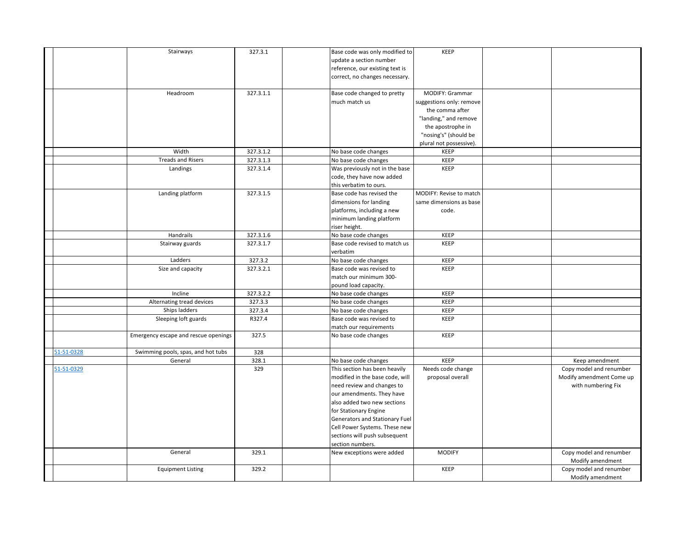|            | Stairways                            | 327.3.1   | Base code was only modified to  | <b>KEEP</b>              |                          |
|------------|--------------------------------------|-----------|---------------------------------|--------------------------|--------------------------|
|            |                                      |           | update a section number         |                          |                          |
|            |                                      |           | reference, our existing text is |                          |                          |
|            |                                      |           | correct, no changes necessary.  |                          |                          |
|            |                                      |           |                                 |                          |                          |
|            | Headroom                             | 327.3.1.1 | Base code changed to pretty     | MODIFY: Grammar          |                          |
|            |                                      |           | much match us                   | suggestions only: remove |                          |
|            |                                      |           |                                 | the comma after          |                          |
|            |                                      |           |                                 | "landing," and remove    |                          |
|            |                                      |           |                                 | the apostrophe in        |                          |
|            |                                      |           |                                 | "nosing's" (should be    |                          |
|            |                                      |           |                                 | plural not possessive).  |                          |
|            | Width                                | 327.3.1.2 | No base code changes            | KEEP                     |                          |
|            | <b>Treads and Risers</b>             | 327.3.1.3 | No base code changes            | KEEP                     |                          |
|            | Landings                             | 327.3.1.4 | Was previously not in the base  | <b>KEEP</b>              |                          |
|            |                                      |           | code, they have now added       |                          |                          |
|            |                                      |           | this verbatim to ours.          |                          |                          |
|            | Landing platform                     | 327.3.1.5 | Base code has revised the       | MODIFY: Revise to match  |                          |
|            |                                      |           | dimensions for landing          | same dimensions as base  |                          |
|            |                                      |           | platforms, including a new      | code.                    |                          |
|            |                                      |           | minimum landing platform        |                          |                          |
|            |                                      |           | riser height.                   |                          |                          |
|            | Handrails                            | 327.3.1.6 | No base code changes            | <b>KEEP</b>              |                          |
|            | Stairway guards                      | 327.3.1.7 | Base code revised to match us   | <b>KEEP</b>              |                          |
|            |                                      |           | verbatim                        |                          |                          |
|            | Ladders                              | 327.3.2   | No base code changes            | <b>KEEP</b>              |                          |
|            | Size and capacity                    | 327.3.2.1 | Base code was revised to        | <b>KEEP</b>              |                          |
|            |                                      |           | match our minimum 300-          |                          |                          |
|            |                                      |           | pound load capacity.            |                          |                          |
|            | Incline                              | 327.3.2.2 | No base code changes            | <b>KEEP</b>              |                          |
|            | Alternating tread devices            | 327.3.3   | No base code changes            | KEEP                     |                          |
|            | Ships ladders                        | 327.3.4   | No base code changes            | KEEP                     |                          |
|            | Sleeping loft guards                 | R327.4    | Base code was revised to        | <b>KEEP</b>              |                          |
|            |                                      |           | match our requirements          |                          |                          |
|            | Emergency escape and rescue openings | 327.5     | No base code changes            | <b>KEEP</b>              |                          |
|            |                                      |           |                                 |                          |                          |
| 51-51-0328 | Swimming pools, spas, and hot tubs   | 328       |                                 |                          |                          |
|            | General                              | 328.1     | No base code changes            | <b>KEEP</b>              | Keep amendment           |
| 51-51-0329 |                                      | 329       | This section has been heavily   | Needs code change        | Copy model and renumber  |
|            |                                      |           | modified in the base code, will | proposal overall         | Modify amendment Come up |
|            |                                      |           | need review and changes to      |                          | with numbering Fix       |
|            |                                      |           | our amendments. They have       |                          |                          |
|            |                                      |           | also added two new sections     |                          |                          |
|            |                                      |           | for Stationary Engine           |                          |                          |
|            |                                      |           | Generators and Stationary Fuel  |                          |                          |
|            |                                      |           | Cell Power Systems. These new   |                          |                          |
|            |                                      |           | sections will push subsequent   |                          |                          |
|            |                                      |           | section numbers.                |                          |                          |
|            | General                              | 329.1     | New exceptions were added       | <b>MODIFY</b>            | Copy model and renumber  |
|            |                                      |           |                                 |                          | Modify amendment         |
|            | <b>Equipment Listing</b>             | 329.2     |                                 | <b>KEEP</b>              | Copy model and renumber  |
|            |                                      |           |                                 |                          | Modify amendment         |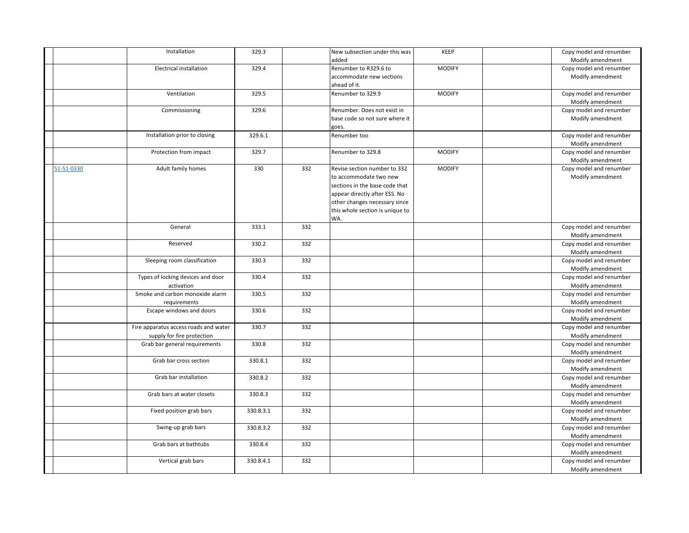|            | Installation                          | 329.3     |     | New subsection under this was   | KEEP          | Copy model and renumber |
|------------|---------------------------------------|-----------|-----|---------------------------------|---------------|-------------------------|
|            |                                       |           |     | added                           |               | Modify amendment        |
|            | <b>Electrical installation</b>        | 329.4     |     | Renumber to R329.6 to           | <b>MODIFY</b> | Copy model and renumber |
|            |                                       |           |     | accommodate new sections        |               | Modify amendment        |
|            |                                       |           |     | ahead of it.                    |               |                         |
|            | Ventilation                           | 329.5     |     | Renumber to 329.9               | <b>MODIFY</b> | Copy model and renumber |
|            |                                       |           |     |                                 |               | Modify amendment        |
|            | Commissioning                         | 329.6     |     | Renumber. Does not exist in     |               | Copy model and renumber |
|            |                                       |           |     | base code so not sure where it  |               | Modify amendment        |
|            |                                       |           |     | goes.                           |               |                         |
|            | Installation prior to closing         | 329.6.1   |     | Renumber too                    |               | Copy model and renumber |
|            |                                       |           |     |                                 |               | Modify amendment        |
|            | Protection from impact                | 329.7     |     | Renumber to 329.8               | <b>MODIFY</b> | Copy model and renumber |
|            |                                       |           |     |                                 |               | Modify amendment        |
| 51-51-0330 | Adult family homes                    | 330       | 332 | Revise section number to 332    | <b>MODIFY</b> | Copy model and renumber |
|            |                                       |           |     | to accommodate two new          |               | Modify amendment        |
|            |                                       |           |     | sections in the base code that  |               |                         |
|            |                                       |           |     |                                 |               |                         |
|            |                                       |           |     | appear directly after ESS. No   |               |                         |
|            |                                       |           |     | other changes necessary since   |               |                         |
|            |                                       |           |     | this whole section is unique to |               |                         |
|            |                                       |           |     | WA.                             |               |                         |
|            | General                               | 333.1     | 332 |                                 |               | Copy model and renumber |
|            |                                       |           |     |                                 |               | Modify amendment        |
|            | Reserved                              | 330.2     | 332 |                                 |               | Copy model and renumber |
|            |                                       |           |     |                                 |               | Modify amendment        |
|            | Sleeping room classification          | 330.3     | 332 |                                 |               | Copy model and renumber |
|            |                                       |           |     |                                 |               | Modify amendment        |
|            | Types of locking devices and door     | 330.4     | 332 |                                 |               | Copy model and renumber |
|            | activation                            |           |     |                                 |               | Modify amendment        |
|            | Smoke and carbon monoxide alarm       | 330.5     | 332 |                                 |               | Copy model and renumber |
|            | requirements                          |           |     |                                 |               | Modify amendment        |
|            | Escape windows and doors              | 330.6     | 332 |                                 |               | Copy model and renumber |
|            |                                       |           |     |                                 |               | Modify amendment        |
|            | Fire apparatus access roads and water | 330.7     | 332 |                                 |               | Copy model and renumber |
|            | supply for fire protection            |           |     |                                 |               | Modify amendment        |
|            | Grab bar general requirements         | 330.8     | 332 |                                 |               | Copy model and renumber |
|            |                                       |           |     |                                 |               | Modify amendment        |
|            | Grab bar cross section                | 330.8.1   | 332 |                                 |               | Copy model and renumber |
|            |                                       |           |     |                                 |               | Modify amendment        |
|            | Grab bar installation                 | 330.8.2   | 332 |                                 |               | Copy model and renumber |
|            |                                       |           |     |                                 |               | Modify amendment        |
|            | Grab bars at water closets            | 330.8.3   | 332 |                                 |               | Copy model and renumber |
|            |                                       |           |     |                                 |               | Modify amendment        |
|            | Fixed position grab bars              | 330.8.3.1 | 332 |                                 |               | Copy model and renumber |
|            |                                       |           |     |                                 |               | Modify amendment        |
|            | Swing-up grab bars                    | 330.8.3.2 | 332 |                                 |               | Copy model and renumber |
|            |                                       |           |     |                                 |               | Modify amendment        |
|            | Grab bars at bathtubs                 | 330.8.4   | 332 |                                 |               | Copy model and renumber |
|            |                                       |           |     |                                 |               | Modify amendment        |
|            |                                       |           |     |                                 |               |                         |
|            | Vertical grab bars                    | 330.8.4.1 | 332 |                                 |               | Copy model and renumber |
|            |                                       |           |     |                                 |               | Modify amendment        |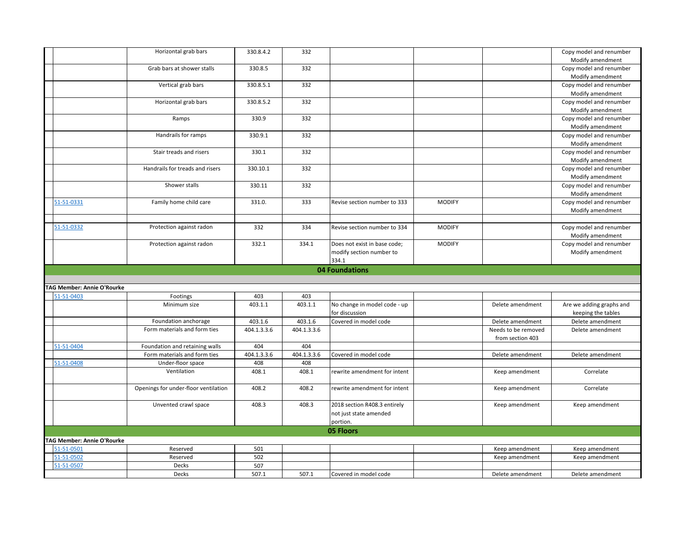|                                         | Horizontal grab bars                 | 330.8.4.2    | 332         |                                                |               |                     | Copy model and renumber                        |
|-----------------------------------------|--------------------------------------|--------------|-------------|------------------------------------------------|---------------|---------------------|------------------------------------------------|
|                                         |                                      |              |             |                                                |               |                     | Modify amendment                               |
|                                         | Grab bars at shower stalls           | 330.8.5      | 332         |                                                |               |                     | Copy model and renumber                        |
|                                         |                                      |              |             |                                                |               |                     | Modify amendment                               |
|                                         | Vertical grab bars                   | 330.8.5.1    | 332         |                                                |               |                     | Copy model and renumber                        |
|                                         |                                      |              |             |                                                |               |                     | Modify amendment                               |
|                                         | Horizontal grab bars                 | 330.8.5.2    | 332         |                                                |               |                     | Copy model and renumber                        |
|                                         |                                      |              |             |                                                |               |                     | Modify amendment                               |
|                                         | Ramps                                | 330.9        | 332         |                                                |               |                     | Copy model and renumber                        |
|                                         |                                      |              |             |                                                |               |                     | Modify amendment                               |
|                                         | Handrails for ramps                  | 330.9.1      | 332         |                                                |               |                     | Copy model and renumber                        |
|                                         |                                      |              |             |                                                |               |                     | Modify amendment                               |
|                                         | Stair treads and risers              | 330.1        | 332         |                                                |               |                     | Copy model and renumber                        |
|                                         |                                      |              |             |                                                |               |                     | Modify amendment                               |
|                                         | Handrails for treads and risers      | 330.10.1     | 332         |                                                |               |                     | Copy model and renumber                        |
|                                         |                                      |              |             |                                                |               |                     | Modify amendment                               |
|                                         | Shower stalls                        | 330.11       | 332         |                                                |               |                     | Copy model and renumber                        |
| 51-51-0331                              | Family home child care               | 331.0.       | 333         | Revise section number to 333                   | <b>MODIFY</b> |                     | Modify amendment<br>Copy model and renumber    |
|                                         |                                      |              |             |                                                |               |                     | Modify amendment                               |
|                                         |                                      |              |             |                                                |               |                     |                                                |
| 51-51-0332                              | Protection against radon             | 332          | 334         | Revise section number to 334                   | <b>MODIFY</b> |                     | Copy model and renumber                        |
|                                         |                                      |              |             |                                                |               |                     | Modify amendment                               |
|                                         | Protection against radon             | 332.1        | 334.1       | Does not exist in base code;                   | <b>MODIFY</b> |                     | Copy model and renumber                        |
|                                         |                                      |              |             | modify section number to                       |               |                     | Modify amendment                               |
|                                         |                                      |              |             | 334.1                                          |               |                     |                                                |
|                                         |                                      |              |             |                                                |               |                     |                                                |
|                                         |                                      |              |             |                                                |               |                     |                                                |
|                                         |                                      |              |             | 04 Foundations                                 |               |                     |                                                |
|                                         |                                      |              |             |                                                |               |                     |                                                |
| AG Member: Annie O'Rourke<br>51-51-0403 | Footings                             | 403          | 403         |                                                |               |                     |                                                |
|                                         | Minimum size                         | 403.1.1      | 403.1.1     |                                                |               | Delete amendment    |                                                |
|                                         |                                      |              |             | No change in model code - up<br>for discussion |               |                     | Are we adding graphs and<br>keeping the tables |
|                                         | Foundation anchorage                 | 403.1.6      | 403.1.6     | Covered in model code                          |               | Delete amendment    | Delete amendment                               |
|                                         | Form materials and form ties         | 404.1.3.3.6  | 404.1.3.3.6 |                                                |               | Needs to be removed | Delete amendment                               |
|                                         |                                      |              |             |                                                |               | from section 403    |                                                |
| 51-51-0404                              | Foundation and retaining walls       | 404          | 404         |                                                |               |                     |                                                |
|                                         | Form materials and form ties         | 404.1.3.3.6  | 404.1.3.3.6 | Covered in model code                          |               | Delete amendment    | Delete amendment                               |
| 51-51-0408                              | Under-floor space                    | 408          | 408         |                                                |               |                     |                                                |
|                                         | Ventilation                          | 408.1        | 408.1       | rewrite amendment for intent                   |               | Keep amendment      | Correlate                                      |
|                                         |                                      |              |             |                                                |               |                     |                                                |
|                                         | Openings for under-floor ventilation | 408.2        | 408.2       | rewrite amendment for intent                   |               | Keep amendment      | Correlate                                      |
|                                         |                                      |              |             |                                                |               |                     |                                                |
|                                         | Unvented crawl space                 | 408.3        | 408.3       | 2018 section R408.3 entirely                   |               | Keep amendment      | Keep amendment                                 |
|                                         |                                      |              |             | not just state amended                         |               |                     |                                                |
|                                         |                                      |              |             | portion.                                       |               |                     |                                                |
|                                         |                                      |              |             | 05 Floors                                      |               |                     |                                                |
| <b>FAG Member: Annie O'Rourke</b>       |                                      |              |             |                                                |               |                     |                                                |
| 51-51-0501                              | Reserved                             | 501          |             |                                                |               | Keep amendment      | Keep amendment                                 |
| 51-51-0502                              | Reserved                             | 502          |             |                                                |               | Keep amendment      | Keep amendment                                 |
| 51-51-0507                              | Decks<br>Decks                       | 507<br>507.1 | 507.1       | Covered in model code                          |               | Delete amendment    | Delete amendment                               |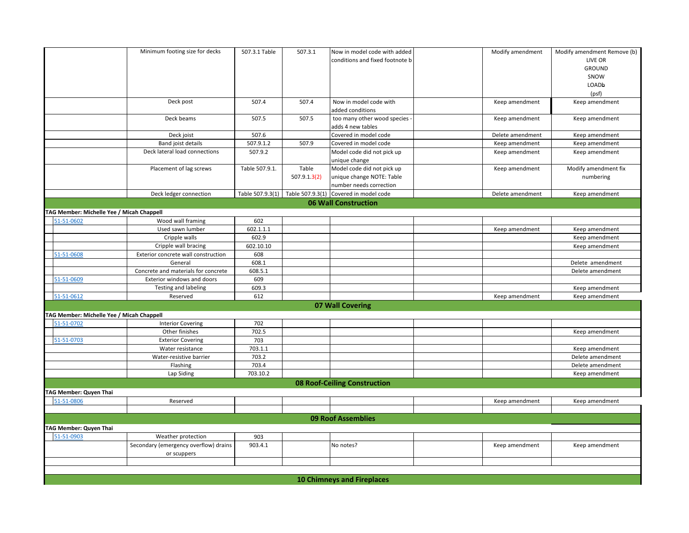|                                                         | Minimum footing size for decks        | 507.3.1 Table  | 507.3.1                           | Now in model code with added        | Modify amendment | Modify amendment Remove (b) |
|---------------------------------------------------------|---------------------------------------|----------------|-----------------------------------|-------------------------------------|------------------|-----------------------------|
|                                                         |                                       |                |                                   | conditions and fixed footnote b     |                  | LIVE OR                     |
|                                                         |                                       |                |                                   |                                     |                  | <b>GROUND</b>               |
|                                                         |                                       |                |                                   |                                     |                  | SNOW                        |
|                                                         |                                       |                |                                   |                                     |                  | LOADb                       |
|                                                         |                                       |                |                                   |                                     |                  | (psf)                       |
|                                                         | Deck post                             | 507.4          | 507.4                             | Now in model code with              | Keep amendment   | Keep amendment              |
|                                                         |                                       |                |                                   | added conditions                    |                  |                             |
|                                                         | Deck beams                            | 507.5          | 507.5                             | too many other wood species         | Keep amendment   | Keep amendment              |
|                                                         |                                       |                |                                   | adds 4 new tables                   |                  |                             |
|                                                         | Deck joist                            | 507.6          |                                   | Covered in model code               | Delete amendment | Keep amendment              |
|                                                         | Band joist details                    | 507.9.1.2      | 507.9                             | Covered in model code               | Keep amendment   | Keep amendment              |
|                                                         | Deck lateral load connections         | 507.9.2        |                                   | Model code did not pick up          | Keep amendment   | Keep amendment              |
|                                                         |                                       |                |                                   | unique change                       |                  |                             |
|                                                         | Placement of lag screws               | Table 507.9.1. | Table                             | Model code did not pick up          | Keep amendment   | Modify amendment fix        |
|                                                         |                                       |                | 507.9.1.3(2)                      | unique change NOTE: Table           |                  | numbering                   |
|                                                         |                                       |                |                                   | number needs correction             |                  |                             |
|                                                         | Deck ledger connection                |                | Table 507.9.3(1) Table 507.9.3(1) | Covered in model code               | Delete amendment | Keep amendment              |
|                                                         |                                       |                |                                   | <b>06 Wall Construction</b>         |                  |                             |
| TAG Member: Michelle Yee / Micah Chappell<br>51-51-0602 | Wood wall framing                     | 602            |                                   |                                     |                  |                             |
|                                                         | Used sawn lumber                      | 602.1.1.1      |                                   |                                     | Keep amendment   | Keep amendment              |
|                                                         | Cripple walls                         | 602.9          |                                   |                                     |                  | Keep amendment              |
|                                                         | Cripple wall bracing                  | 602.10.10      |                                   |                                     |                  | Keep amendment              |
| 51-51-0608                                              | Exterior concrete wall construction   | 608            |                                   |                                     |                  |                             |
|                                                         | General                               | 608.1          |                                   |                                     |                  | Delete amendment            |
|                                                         | Concrete and materials for concrete   | 608.5.1        |                                   |                                     |                  | Delete amendment            |
| 51-51-0609                                              | Exterior windows and doors            | 609            |                                   |                                     |                  |                             |
|                                                         | <b>Testing and labeling</b>           | 609.3          |                                   |                                     |                  | Keep amendment              |
| 51-51-0612                                              | Reserved                              | 612            |                                   |                                     | Keep amendment   | Keep amendment              |
|                                                         |                                       |                |                                   | 07 Wall Covering                    |                  |                             |
| TAG Member: Michelle Yee / Micah Chappell               |                                       |                |                                   |                                     |                  |                             |
| 51-51-0702                                              | <b>Interior Covering</b>              | 702            |                                   |                                     |                  |                             |
|                                                         | Other finishes                        | 702.5          |                                   |                                     |                  | Keep amendment              |
| 51-51-0703                                              | <b>Exterior Covering</b>              | 703            |                                   |                                     |                  |                             |
|                                                         | Water resistance                      | 703.1.1        |                                   |                                     |                  | Keep amendment              |
|                                                         | Water-resistive barrier               | 703.2          |                                   |                                     |                  | Delete amendment            |
|                                                         | Flashing                              | 703.4          |                                   |                                     |                  | Delete amendment            |
|                                                         | Lap Siding                            | 703.10.2       |                                   |                                     |                  | Keep amendment              |
|                                                         |                                       |                |                                   | <b>08 Roof-Ceiling Construction</b> |                  |                             |
| TAG Member: Quyen Thai                                  |                                       |                |                                   |                                     |                  |                             |
| 51-51-0806                                              | Reserved                              |                |                                   |                                     | Keep amendment   | Keep amendment              |
|                                                         |                                       |                |                                   |                                     |                  |                             |
|                                                         |                                       |                |                                   | <b>09 Roof Assemblies</b>           |                  |                             |
| TAG Member: Quyen Thai                                  |                                       |                |                                   |                                     |                  |                             |
| 51-51-0903                                              | Weather protection                    | 903            |                                   |                                     |                  |                             |
|                                                         | Secondary (emergency overflow) drains | 903.4.1        |                                   | No notes?                           | Keep amendment   | Keep amendment              |
|                                                         | or scuppers                           |                |                                   |                                     |                  |                             |
|                                                         |                                       |                |                                   |                                     |                  |                             |
|                                                         |                                       |                |                                   |                                     |                  |                             |
|                                                         |                                       |                |                                   | <b>10 Chimneys and Fireplaces</b>   |                  |                             |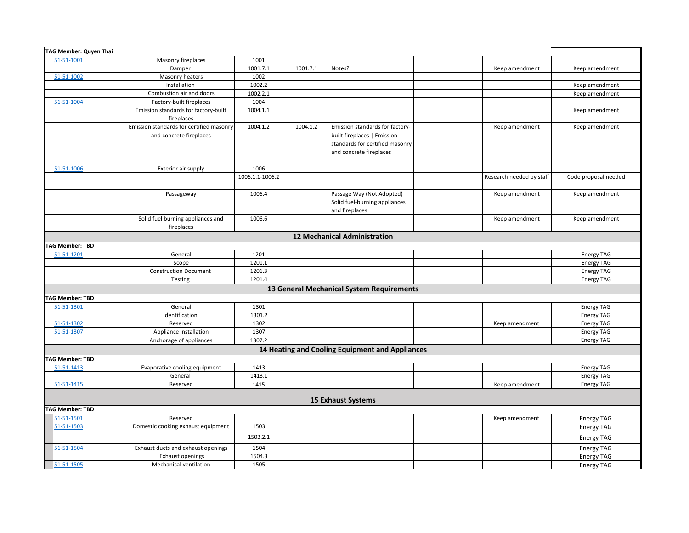| TAG Member: Quyen Thai |                                          |                 |          |                                                 |                          |                      |
|------------------------|------------------------------------------|-----------------|----------|-------------------------------------------------|--------------------------|----------------------|
| 51-51-1001             | Masonry fireplaces                       | 1001            |          |                                                 |                          |                      |
|                        | Damper                                   | 1001.7.1        | 1001.7.1 | Notes?                                          | Keep amendment           | Keep amendment       |
| 51-51-1002             | Masonry heaters                          | 1002            |          |                                                 |                          |                      |
|                        | Installation                             | 1002.2          |          |                                                 |                          | Keep amendment       |
|                        | Combustion air and doors                 | 1002.2.1        |          |                                                 |                          | Keep amendment       |
| 51-51-1004             | Factory-built fireplaces                 | 1004            |          |                                                 |                          |                      |
|                        | Emission standards for factory-built     | 1004.1.1        |          |                                                 |                          | Keep amendment       |
|                        | fireplaces                               |                 |          |                                                 |                          |                      |
|                        | Emission standards for certified masonry | 1004.1.2        | 1004.1.2 | Emission standards for factory-                 | Keep amendment           | Keep amendment       |
|                        | and concrete fireplaces                  |                 |          | built fireplaces   Emission                     |                          |                      |
|                        |                                          |                 |          | standards for certified masonry                 |                          |                      |
|                        |                                          |                 |          | and concrete fireplaces                         |                          |                      |
|                        |                                          |                 |          |                                                 |                          |                      |
| 51-51-1006             | Exterior air supply                      | 1006            |          |                                                 |                          |                      |
|                        |                                          | 1006.1.1-1006.2 |          |                                                 | Research needed by staff | Code proposal needed |
|                        |                                          |                 |          |                                                 |                          |                      |
|                        | Passageway                               | 1006.4          |          | Passage Way (Not Adopted)                       | Keep amendment           | Keep amendment       |
|                        |                                          |                 |          | Solid fuel-burning appliances                   |                          |                      |
|                        |                                          |                 |          | and fireplaces                                  |                          |                      |
|                        | Solid fuel burning appliances and        | 1006.6          |          |                                                 | Keep amendment           | Keep amendment       |
|                        | fireplaces                               |                 |          |                                                 |                          |                      |
|                        |                                          |                 |          | <b>12 Mechanical Administration</b>             |                          |                      |
| <b>TAG Member: TBD</b> |                                          |                 |          |                                                 |                          |                      |
| 51-51-1201             | General                                  | 1201            |          |                                                 |                          | <b>Energy TAG</b>    |
|                        | Scope                                    | 1201.1          |          |                                                 |                          | <b>Energy TAG</b>    |
|                        | <b>Construction Document</b>             | 1201.3          |          |                                                 |                          | <b>Energy TAG</b>    |
|                        | Testing                                  | 1201.4          |          |                                                 |                          | <b>Energy TAG</b>    |
|                        |                                          |                 |          | 13 General Mechanical System Requirements       |                          |                      |
|                        |                                          |                 |          |                                                 |                          |                      |
| <b>TAG Member: TBD</b> |                                          |                 |          |                                                 |                          |                      |
| 51-51-1301             | General                                  | 1301            |          |                                                 |                          | <b>Energy TAG</b>    |
|                        | Identification                           | 1301.2          |          |                                                 |                          | <b>Energy TAG</b>    |
| 51-51-1302             | Reserved                                 | 1302            |          |                                                 | Keep amendment           | <b>Energy TAG</b>    |
| 51-51-1307             | Appliance installation                   | 1307            |          |                                                 |                          | <b>Energy TAG</b>    |
|                        | Anchorage of appliances                  | 1307.2          |          |                                                 |                          | <b>Energy TAG</b>    |
|                        |                                          |                 |          | 14 Heating and Cooling Equipment and Appliances |                          |                      |
| <b>TAG Member: TBD</b> |                                          |                 |          |                                                 |                          |                      |
| 51-51-1413             | Evaporative cooling equipment            | 1413            |          |                                                 |                          | <b>Energy TAG</b>    |
|                        | General                                  | 1413.1          |          |                                                 |                          | <b>Energy TAG</b>    |
| 51-51-1415             | Reserved                                 | 1415            |          |                                                 | Keep amendment           | <b>Energy TAG</b>    |
|                        |                                          |                 |          |                                                 |                          |                      |
|                        |                                          |                 |          | <b>15 Exhaust Systems</b>                       |                          |                      |
| <b>TAG Member: TBD</b> |                                          |                 |          |                                                 |                          |                      |
| 51-51-1501             | Reserved                                 |                 |          |                                                 | Keep amendment           | <b>Energy TAG</b>    |
| 51-51-1503             | Domestic cooking exhaust equipment       | 1503            |          |                                                 |                          | <b>Energy TAG</b>    |
|                        |                                          | 1503.2.1        |          |                                                 |                          | <b>Energy TAG</b>    |
| 51-51-1504             | Exhaust ducts and exhaust openings       | 1504            |          |                                                 |                          | <b>Energy TAG</b>    |
|                        | <b>Exhaust openings</b>                  | 1504.3          |          |                                                 |                          | <b>Energy TAG</b>    |
| 51-51-1505             | Mechanical ventilation                   | 1505            |          |                                                 |                          | <b>Energy TAG</b>    |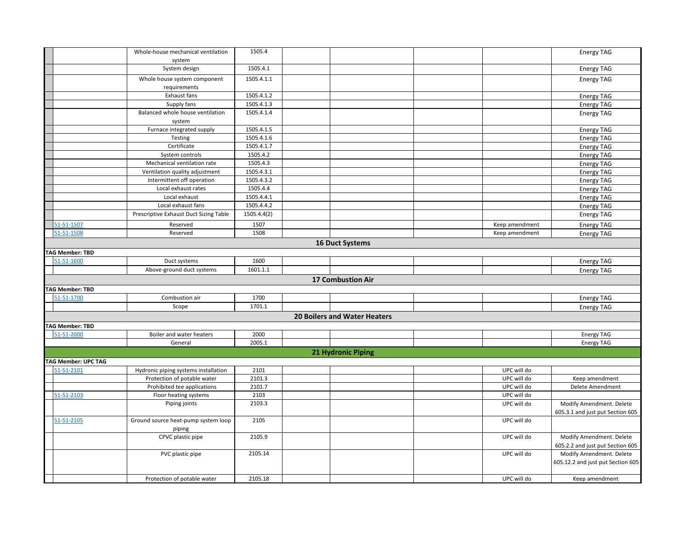|                            | Whole-house mechanical ventilation         | 1505.4      |                                     |                | <b>Energy TAG</b>                 |
|----------------------------|--------------------------------------------|-------------|-------------------------------------|----------------|-----------------------------------|
|                            | system                                     |             |                                     |                |                                   |
|                            | System design                              | 1505.4.1    |                                     |                | <b>Energy TAG</b>                 |
|                            | Whole house system component               | 1505.4.1.1  |                                     |                | <b>Energy TAG</b>                 |
|                            | requirements<br>Exhaust fans               | 1505.4.1.2  |                                     |                |                                   |
|                            |                                            |             |                                     |                | <b>Energy TAG</b>                 |
|                            | Supply fans                                | 1505.4.1.3  |                                     |                | <b>Energy TAG</b>                 |
|                            | Balanced whole house ventilation<br>system | 1505.4.1.4  |                                     |                | <b>Energy TAG</b>                 |
|                            | Furnace integrated supply                  | 1505.4.1.5  |                                     |                | <b>Energy TAG</b>                 |
|                            | Testing                                    | 1505.4.1.6  |                                     |                | <b>Energy TAG</b>                 |
|                            | Certificate                                | 1505.4.1.7  |                                     |                | <b>Energy TAG</b>                 |
|                            | System controls                            | 1505.4.2    |                                     |                | <b>Energy TAG</b>                 |
|                            | Mechanical ventilation rate                | 1505.4.3    |                                     |                | <b>Energy TAG</b>                 |
|                            | Ventilation quality adjustment             | 1505.4.3.1  |                                     |                | <b>Energy TAG</b>                 |
|                            | Intermittent off operation                 | 1505.4.3.2  |                                     |                | <b>Energy TAG</b>                 |
|                            | Local exhaust rates                        | 1505.4.4    |                                     |                | <b>Energy TAG</b>                 |
|                            | Local exhaust                              | 1505.4.4.1  |                                     |                | <b>Energy TAG</b>                 |
|                            | Local exhaust fans                         | 1505.4.4.2  |                                     |                | <b>Energy TAG</b>                 |
|                            | Prescriptive Exhaust Duct Sizing Table     | 1505.4.4(2) |                                     |                | <b>Energy TAG</b>                 |
| 51-51-1507                 | Reserved                                   | 1507        |                                     | Keep amendment | <b>Energy TAG</b>                 |
| 51-51-1508                 | Reserved                                   | 1508        |                                     | Keep amendment | <b>Energy TAG</b>                 |
|                            |                                            |             | <b>16 Duct Systems</b>              |                |                                   |
| <b>TAG Member: TBD</b>     |                                            |             |                                     |                |                                   |
| 51-51-1600                 | Duct systems                               | 1600        |                                     |                | <b>Energy TAG</b>                 |
|                            | Above-ground duct systems                  | 1601.1.1    |                                     |                | <b>Energy TAG</b>                 |
|                            |                                            |             | <b>17 Combustion Air</b>            |                |                                   |
| <b>TAG Member: TBD</b>     |                                            |             |                                     |                |                                   |
| 51-51-1700                 | Combustion air                             | 1700        |                                     |                | <b>Energy TAG</b>                 |
|                            | Scope                                      | 1701.1      |                                     |                | <b>Energy TAG</b>                 |
|                            |                                            |             | <b>20 Boilers and Water Heaters</b> |                |                                   |
| <b>TAG Member: TBD</b>     |                                            |             |                                     |                |                                   |
| 51-51-2000                 | Boiler and water heaters                   | 2000        |                                     |                | <b>Energy TAG</b>                 |
|                            | General                                    | 2005.1      |                                     |                | <b>Energy TAG</b>                 |
|                            |                                            |             | 21 Hydronic Piping                  |                |                                   |
| <b>TAG Member: UPC TAG</b> |                                            |             |                                     |                |                                   |
| 51-51-2101                 | Hydronic piping systems installation       | 2101        |                                     | UPC will do    |                                   |
|                            | Protection of potable water                | 2101.3      |                                     | UPC will do    | Keep amendment                    |
|                            | Prohibited tee applications                | 2101.7      |                                     | UPC will do    | Delete Amendment                  |
| 51-51-2103                 | Floor heating systems                      | 2103        |                                     | UPC will do    |                                   |
|                            | Piping joints                              | 2103.3      |                                     | UPC will do    | Modify Amendment. Delete          |
|                            |                                            |             |                                     |                | 605.3.1 and just put Section 605  |
| 51-51-2105                 | Ground source heat-pump system loop        | 2105        |                                     | UPC will do    |                                   |
|                            | piping                                     |             |                                     |                |                                   |
|                            | CPVC plastic pipe                          | 2105.9      |                                     | UPC will do    | Modify Amendment. Delete          |
|                            |                                            |             |                                     |                | 605.2.2 and just put Section 605  |
|                            | PVC plastic pipe                           | 2105.14     |                                     | UPC will do    | Modify Amendment. Delete          |
|                            |                                            |             |                                     |                | 605.12.2 and just put Section 605 |
|                            | Protection of potable water                | 2105.18     |                                     | UPC will do    | Keep amendment                    |
|                            |                                            |             |                                     |                |                                   |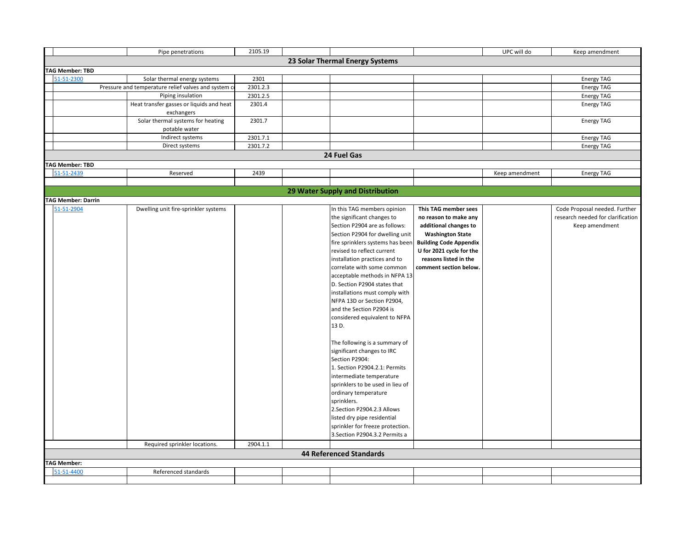|                           | Pipe penetrations                                   | 2105.19  |                                  |                               | UPC will do    | Keep amendment                    |
|---------------------------|-----------------------------------------------------|----------|----------------------------------|-------------------------------|----------------|-----------------------------------|
|                           |                                                     |          | 23 Solar Thermal Energy Systems  |                               |                |                                   |
| <b>TAG Member: TBD</b>    |                                                     |          |                                  |                               |                |                                   |
| 51-51-2300                | Solar thermal energy systems                        | 2301     |                                  |                               |                | <b>Energy TAG</b>                 |
|                           | Pressure and temperature relief valves and system o | 2301.2.3 |                                  |                               |                | <b>Energy TAG</b>                 |
|                           | Piping insulation                                   | 2301.2.5 |                                  |                               |                | <b>Energy TAG</b>                 |
|                           | Heat transfer gasses or liquids and heat            | 2301.4   |                                  |                               |                | <b>Energy TAG</b>                 |
|                           | exchangers                                          |          |                                  |                               |                |                                   |
|                           | Solar thermal systems for heating                   | 2301.7   |                                  |                               |                | <b>Energy TAG</b>                 |
|                           | potable water                                       |          |                                  |                               |                |                                   |
|                           | Indirect systems                                    | 2301.7.1 |                                  |                               |                | <b>Energy TAG</b>                 |
|                           | Direct systems                                      | 2301.7.2 |                                  |                               |                | <b>Energy TAG</b>                 |
|                           |                                                     |          | 24 Fuel Gas                      |                               |                |                                   |
| <b>TAG Member: TBD</b>    |                                                     |          |                                  |                               |                |                                   |
| 51-51-2439                |                                                     |          |                                  |                               |                |                                   |
|                           | Reserved                                            | 2439     |                                  |                               | Keep amendment | <b>Energy TAG</b>                 |
|                           |                                                     |          |                                  |                               |                |                                   |
|                           |                                                     |          | 29 Water Supply and Distribution |                               |                |                                   |
| <b>TAG Member: Darrin</b> |                                                     |          |                                  |                               |                |                                   |
| 51-51-2904                | Dwelling unit fire-sprinkler systems                |          | In this TAG members opinion      | This TAG member sees          |                | Code Proposal needed. Further     |
|                           |                                                     |          | the significant changes to       | no reason to make any         |                | research needed for clarification |
|                           |                                                     |          | Section P2904 are as follows:    | additional changes to         |                | Keep amendment                    |
|                           |                                                     |          | Section P2904 for dwelling unit  | <b>Washington State</b>       |                |                                   |
|                           |                                                     |          | fire sprinklers systems has been | <b>Building Code Appendix</b> |                |                                   |
|                           |                                                     |          | revised to reflect current       | U for 2021 cycle for the      |                |                                   |
|                           |                                                     |          | installation practices and to    | reasons listed in the         |                |                                   |
|                           |                                                     |          | correlate with some common       | comment section below.        |                |                                   |
|                           |                                                     |          | acceptable methods in NFPA 13    |                               |                |                                   |
|                           |                                                     |          | D. Section P2904 states that     |                               |                |                                   |
|                           |                                                     |          | installations must comply with   |                               |                |                                   |
|                           |                                                     |          | NFPA 13D or Section P2904,       |                               |                |                                   |
|                           |                                                     |          | and the Section P2904 is         |                               |                |                                   |
|                           |                                                     |          | considered equivalent to NFPA    |                               |                |                                   |
|                           |                                                     |          | 13 D.                            |                               |                |                                   |
|                           |                                                     |          |                                  |                               |                |                                   |
|                           |                                                     |          | The following is a summary of    |                               |                |                                   |
|                           |                                                     |          | significant changes to IRC       |                               |                |                                   |
|                           |                                                     |          | Section P2904:                   |                               |                |                                   |
|                           |                                                     |          | 1. Section P2904.2.1: Permits    |                               |                |                                   |
|                           |                                                     |          | intermediate temperature         |                               |                |                                   |
|                           |                                                     |          | sprinklers to be used in lieu of |                               |                |                                   |
|                           |                                                     |          | ordinary temperature             |                               |                |                                   |
|                           |                                                     |          | sprinklers.                      |                               |                |                                   |
|                           |                                                     |          | 2.Section P2904.2.3 Allows       |                               |                |                                   |
|                           |                                                     |          | listed dry pipe residential      |                               |                |                                   |
|                           |                                                     |          | sprinkler for freeze protection. |                               |                |                                   |
|                           |                                                     |          | 3. Section P2904.3.2 Permits a   |                               |                |                                   |
|                           |                                                     |          |                                  |                               |                |                                   |
|                           | Required sprinkler locations.                       | 2904.1.1 |                                  |                               |                |                                   |
|                           |                                                     |          | <b>44 Referenced Standards</b>   |                               |                |                                   |
| <b>TAG Member:</b>        |                                                     |          |                                  |                               |                |                                   |
| 51-51-4400                | Referenced standards                                |          |                                  |                               |                |                                   |
|                           |                                                     |          |                                  |                               |                |                                   |